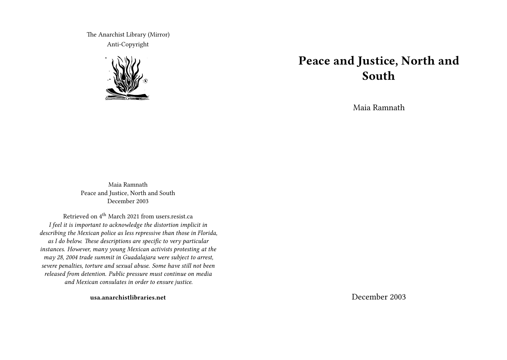The Anarchist Library (Mirror) Anti-Copyright



# **Peace and Justice, North and South**

Maia Ramnath

Maia Ramnath Peace and Justice, North and South December 2003

Retrieved on 4<sup>th</sup> March 2021 from users.resist.ca *I feel it is important to acknowledge the distortion implicit in describing the Mexican police as less repressive than those in Florida, as I do below. These descriptions are specific to very particular instances. However, many young Mexican activists protesting at the may 28, 2004 trade summit in Guadalajara were subject to arrest, severe penalties, torture and sexual abuse. Some have still not been released from detention. Public pressure must continue on media and Mexican consulates in order to ensure justice.*

**usa.anarchistlibraries.net**

December 2003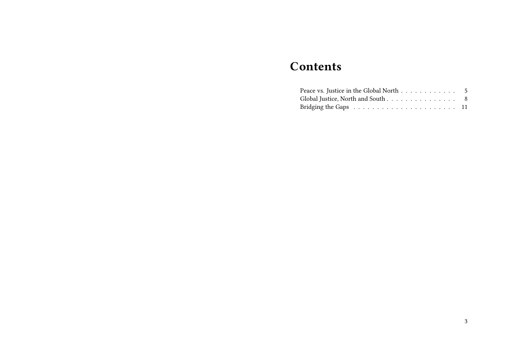# **Contents**

| Peace vs. Justice in the Global North 5                                        |  |
|--------------------------------------------------------------------------------|--|
| Global Justice, North and South 8                                              |  |
| Bridging the Gaps $\ldots \ldots \ldots \ldots \ldots \ldots \ldots \ldots 11$ |  |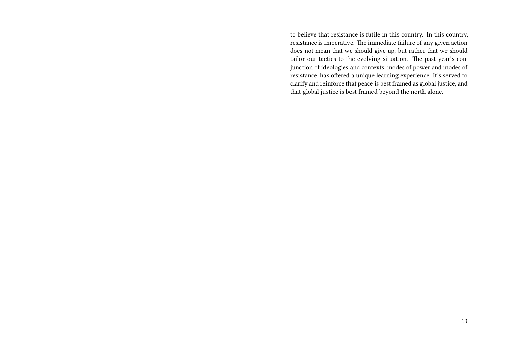to believe that resistance is futile in this country. In this country, resistance is imperative. The immediate failure of any given action does not mean that we should give up, but rather that we should tailor our tactics to the evolving situation. The past year's conjunction of ideologies and contexts, modes of power and modes of resistance, has offered a unique learning experience. It's served to clarify and reinforce that peace is best framed as global justice, and that global justice is best framed beyond the north alone.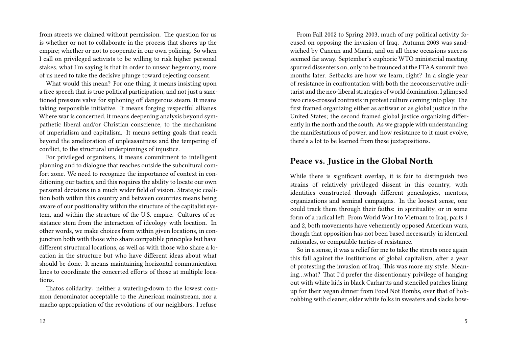from streets we claimed without permission. The question for us is whether or not to collaborate in the process that shores up the empire; whether or not to cooperate in our own policing. So when I call on privileged activists to be willing to risk higher personal stakes, what I'm saying is that in order to unseat hegemony, more of us need to take the decisive plunge toward rejecting consent.

What would this mean? For one thing, it means insisting upon a free speech that is true political participation, and not just a sanctioned pressure valve for siphoning off dangerous steam. It means taking responsible initiative. It means forging respectful allianes. Where war is concerned, it means deepening analysis beyond sympathetic liberal and/or Christian conscience, to the mechanisms of imperialism and capitalism. It means setting goals that reach beyond the amelioration of unpleasantness and the tempering of conflict, to the structural underpinnings of injustice.

For privileged organizers, it means commitment to intelligent planning and to dialogue that reaches outside the subcultural comfort zone. We need to recognize the importance of context in conditioning our tactics, and this requires the ability to locate our own personal decisions in a much wider field of vision. Strategic coalition both within this country and between countries means being aware of our positionality within the structure of the capitalist system, and within the structure of the U.S. empire. Cultures of resistance stem from the interaction of ideology with location. In other words, we make choices from within given locations, in conjunction both with those who share compatible principles but have different structural locations, as well as with those who share a location in the structure but who have different ideas about what should be done. It means maintaining horizontal communication lines to coordinate the concerted efforts of those at multiple locations.

Thatos solidarity: neither a watering-down to the lowest common denominator acceptable to the American mainstream, nor a macho appropriation of the revolutions of our neighbors. I refuse

From Fall 2002 to Spring 2003, much of my political activity focused on opposing the invasion of Iraq. Autumn 2003 was sandwiched by Cancun and Miami, and on all these occasions success seemed far away. September's euphoric WTO ministerial meeting spurred dissenters on, only to be trounced at the FTAA summit two months later. Setbacks are how we learn, right? In a single year of resistance in confrontation with both the neoconservative militarist and the neo-liberal strategies of world domination, I glimpsed two criss-crossed contrasts in protest culture coming into play. The first framed organizing either as antiwar or as global justice in the United States; the second framed global justice organizing differently in the north and the south. As we grapple with understanding the manifestations of power, and how resistance to it must evolve, there's a lot to be learned from these juxtapositions.

#### **Peace vs. Justice in the Global North**

While there is significant overlap, it is fair to distinguish two strains of relatively privileged dissent in this country, with identities constructed through different genealogies, mentors, organizations and seminal campaigns. In the loosest sense, one could track them through their faiths: in spirituality, or in some form of a radical left. From World War I to Vietnam to Iraq, parts 1 and 2, both movements have vehemently opposed American wars, though that opposition has not been based necessarily in identical rationales, or compatible tactics of resistance.

So in a sense, it was a relief for me to take the streets once again this fall against the institutions of global capitalism, after a year of protesting the invasion of Iraq. This was more my style. Meaning…what? That I'd prefer the dissentionary privilege of hanging out with white kids in black Carhartts and stenciled patches lining up for their vegan dinner from Food Not Bombs, over that of hobnobbing with cleaner, older white folks in sweaters and slacks bow-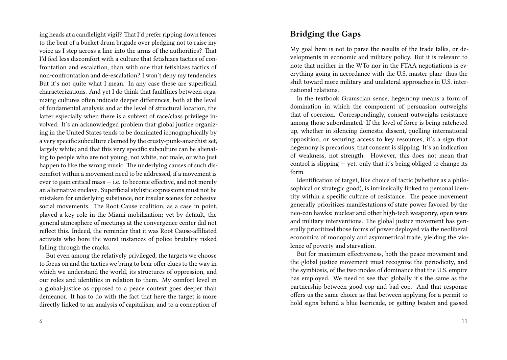ing heads at a candlelight vigil? That I'd prefer ripping down fences to the beat of a bucket drum brigade over pledging not to raise my voice as I step across a line into the arms of the authorities? That I'd feel less discomfort with a culture that fetishizes tactics of confrontation and escalation, than with one that fetishizes tactics of non-confrontation and de-escalation? I won't deny my tendencies. But it's not quite what I mean. In any case these are superficial characterizations. And yet I do think that faultlines between organizing cultures often indicate deeper differences, both at the level of fundamental analysis and at the level of structural location, the latter especially when there is a subtext of race/class privilege involved. It's an acknowledged problem that global justice organizing in the United States tends to be dominated iconographically by a very specific subculture claimed by the crusty-punk-anarchist set, largely white; and that this very specific subculture can be alienating to people who are not young, not white, not male, or who just happen to like the wrong music. The underlying causes of such discomfort within a movement need to be addressed, if a movement is ever to gain critical mass  $-$  i.e. to become effective, and not merely an alternative enclave. Superficial stylistic expressions must not be mistaken for underlying substance, nor insular scenes for cohesive social movements. The Root Cause coalition, as a case in point, played a key role in the Miami mobilization; yet by default, the general atmosphere of meetings at the convergence center did not reflect this. Indeed, the reminder that it was Root Cause-affiliated activists who bore the worst instances of police brutality risked falling through the cracks.

But even among the relatively privileged, the targets we choose to focus on and the tactics we bring to bear offer clues to the way in which we understand the world, its structures of oppression, and our roles and identities in relation to them. My comfort level in a global-justice as opposed to a peace context goes deeper than demeanor. It has to do with the fact that here the target is more directly linked to an analysis of capitalism, and to a conception of

### **Bridging the Gaps**

My goal here is not to parse the results of the trade talks, or developments in economic and military policy. But it is relevant to note that neither in the WTo nor in the FTAA negotiations is everything going in accordance with the U.S. master plan: thus the shift toward more military and unilateral approaches in U.S. international relations.

In the textbook Gramscian sense, hegemony means a form of domination in which the component of persuasion outweighs that of coercion. Correspondingly, consent outweighs resistance among those subordinated. If the level of force is being ratcheted up, whether in silencing domestic dissent, quelling international opposition, or securing access to key resources, it's a sign that hegemony is precarious, that consent is slipping. It's an indication of weakness, not strength. However, this does not mean that control is slipping  $-$  yet. only that it's being obliged to change its form.

Identification of target, like choice of tactic (whether as a philosophical or strategic good), is intrinsically linked to personal identity within a specific culture of resistance. The peace movement generally prioritizes manifestations of state power favored by the neo-con hawks: nuclear and other high-tech weaponry, open wars and military interventions. The global justice movement has generally prioritized those forms of power deployed via the neoliberal economics of monopoly and asymmetrical trade, yielding the violence of poverty and starvation.

But for maximum effectiveness, both the peace movement and the global justice movement must recognize the periodicity, and the symbiosis, of the two modes of dominance that the U.S. empire has employed. We need to see that globally it's the same as the partnership between good-cop and bad-cop. And that response offers us the same choice as that between applying for a permit to hold signs behind a blue barricade, or getting beaten and gassed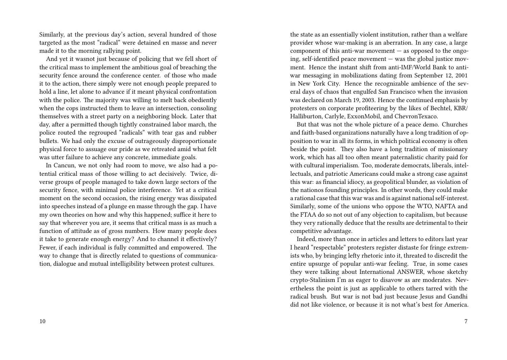Similarly, at the previous day's action, several hundred of those targeted as the most "radical" were detained en masse and never made it to the morning rallying point.

And yet it wasnot just because of policing that we fell short of the critical mass to implement the ambitious goal of breaching the security fence around the conference center. of those who made it to the action, there simply were not enough people prepared to hold a line, let alone to advance if it meant physical confrontation with the police. The majority was willing to melt back obediently when the cops instructed them to leave an intersection, consoling themselves with a street party on a neighboring block. Later that day, after a permitted though tightly constrained labor march, the police routed the regrouped "radicals" with tear gas and rubber bullets. We had only the excuse of outrageously disproportionate physical force to assuage our pride as we retreated amid what felt was utter failure to achieve any concrete, immediate goals.

In Cancun, we not only had room to move, we also had a potential critical mass of those willing to act decisively. Twice, diverse groups of people managed to take down large sectors of the security fence, with minimal police interference. Yet at a critical moment on the second occasion, the rising energy was dissipated into speeches instead of a plunge en masse through the gap. I have my own theories on how and why this happened; suffice it here to say that wherever you are, it seems that critical mass is as much a function of attitude as of gross numbers. How many people does it take to generate enough energy? And to channel it effectively? Fewer, if each individual is fully committed and empowered. The way to change that is directly related to questions of communication, dialogue and mutual intelligibility between protest cultures.

the state as an essentially violent institution, rather than a welfare provider whose war-making is an aberration. In any case, a large component of this anti-war movement — as opposed to the ongoing, self-identified peace movement — was the global justice movment. Hence the instant shift from anti-IMF/World Bank to antiwar messaging in mobilizations dating from September 12, 2001 in New York City. Hence the recognizable ambience of the several days of chaos that engulfed San Francisco when the invasion was declared on March 19, 2003. Hence the continued emphasis by protesters on corporate profiteering by the likes of Bechtel, KBR/ Halliburton, Carlyle, ExxonMobil, and ChevronTexaco.

But that was not the whole picture of a peace demo. Churches and faith-based organizations naturally have a long tradition of opposition to war in all its forms, in which political economy is often beside the point. They also have a long tradition of missionary work, which has all too often meant paternalistic charity paid for with cultural imperialism. Too, moderate democrats, liberals, intellectuals, and patriotic Americans could make a strong case against this war: as financial idiocy, as geopolitical blunder, as violation of the nationos founding principles. In other words, they could make a rational case that this war was and is against national self-interest. Similarly, some of the unions who oppose the WTO, NAFTA and the FTAA do so not out of any objection to capitalism, but because they very rationally deduce that the results are detrimental to their competitive advantage.

Indeed, more than once in articles and letters to editors last year I heard "respectable" protesters register distaste for fringe extremists who, by bringing lefty rhetoric into it, threated to discredit the entire upsurge of popular anti-war feeling. True, in some cases they were talking about International ANSWER, whose sketchy crypto-Stalinism I'm as eager to disavow as are moderates. Nevertheless the point is just as applicable to others tarred with the radical brush. But war is not bad just because Jesus and Gandhi did not like violence, or because it is not what's best for America.